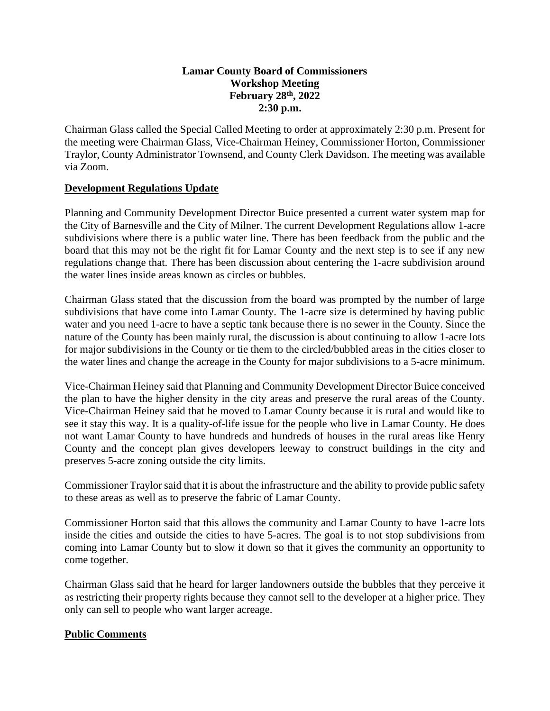# **Lamar County Board of Commissioners Workshop Meeting February 28th, 2022 2:30 p.m.**

Chairman Glass called the Special Called Meeting to order at approximately 2:30 p.m. Present for the meeting were Chairman Glass, Vice-Chairman Heiney, Commissioner Horton, Commissioner Traylor, County Administrator Townsend, and County Clerk Davidson. The meeting was available via Zoom.

### **Development Regulations Update**

Planning and Community Development Director Buice presented a current water system map for the City of Barnesville and the City of Milner. The current Development Regulations allow 1-acre subdivisions where there is a public water line. There has been feedback from the public and the board that this may not be the right fit for Lamar County and the next step is to see if any new regulations change that. There has been discussion about centering the 1-acre subdivision around the water lines inside areas known as circles or bubbles.

Chairman Glass stated that the discussion from the board was prompted by the number of large subdivisions that have come into Lamar County. The 1-acre size is determined by having public water and you need 1-acre to have a septic tank because there is no sewer in the County. Since the nature of the County has been mainly rural, the discussion is about continuing to allow 1-acre lots for major subdivisions in the County or tie them to the circled/bubbled areas in the cities closer to the water lines and change the acreage in the County for major subdivisions to a 5-acre minimum.

Vice-Chairman Heiney said that Planning and Community Development Director Buice conceived the plan to have the higher density in the city areas and preserve the rural areas of the County. Vice-Chairman Heiney said that he moved to Lamar County because it is rural and would like to see it stay this way. It is a quality-of-life issue for the people who live in Lamar County. He does not want Lamar County to have hundreds and hundreds of houses in the rural areas like Henry County and the concept plan gives developers leeway to construct buildings in the city and preserves 5-acre zoning outside the city limits.

Commissioner Traylor said that it is about the infrastructure and the ability to provide public safety to these areas as well as to preserve the fabric of Lamar County.

Commissioner Horton said that this allows the community and Lamar County to have 1-acre lots inside the cities and outside the cities to have 5-acres. The goal is to not stop subdivisions from coming into Lamar County but to slow it down so that it gives the community an opportunity to come together.

Chairman Glass said that he heard for larger landowners outside the bubbles that they perceive it as restricting their property rights because they cannot sell to the developer at a higher price. They only can sell to people who want larger acreage.

#### **Public Comments**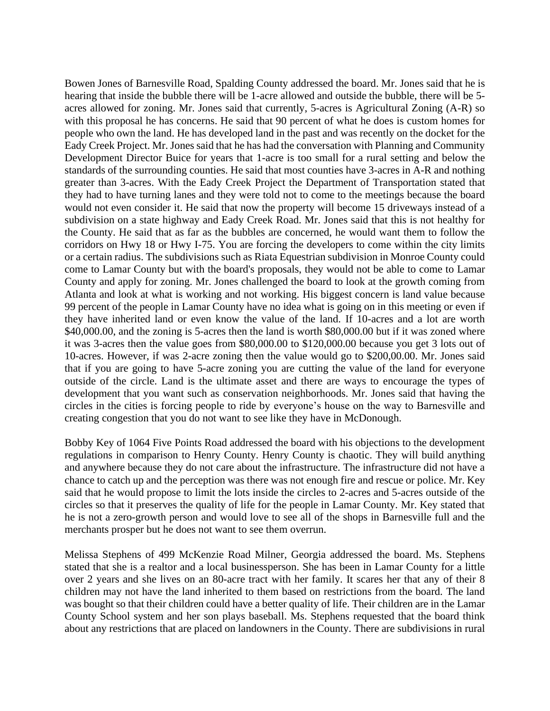Bowen Jones of Barnesville Road, Spalding County addressed the board. Mr. Jones said that he is hearing that inside the bubble there will be 1-acre allowed and outside the bubble, there will be 5 acres allowed for zoning. Mr. Jones said that currently, 5-acres is Agricultural Zoning (A-R) so with this proposal he has concerns. He said that 90 percent of what he does is custom homes for people who own the land. He has developed land in the past and was recently on the docket for the Eady Creek Project. Mr. Jones said that he has had the conversation with Planning and Community Development Director Buice for years that 1-acre is too small for a rural setting and below the standards of the surrounding counties. He said that most counties have 3-acres in A-R and nothing greater than 3-acres. With the Eady Creek Project the Department of Transportation stated that they had to have turning lanes and they were told not to come to the meetings because the board would not even consider it. He said that now the property will become 15 driveways instead of a subdivision on a state highway and Eady Creek Road. Mr. Jones said that this is not healthy for the County. He said that as far as the bubbles are concerned, he would want them to follow the corridors on Hwy 18 or Hwy I-75. You are forcing the developers to come within the city limits or a certain radius. The subdivisions such as Riata Equestrian subdivision in Monroe County could come to Lamar County but with the board's proposals, they would not be able to come to Lamar County and apply for zoning. Mr. Jones challenged the board to look at the growth coming from Atlanta and look at what is working and not working. His biggest concern is land value because 99 percent of the people in Lamar County have no idea what is going on in this meeting or even if they have inherited land or even know the value of the land. If 10-acres and a lot are worth \$40,000.00, and the zoning is 5-acres then the land is worth \$80,000.00 but if it was zoned where it was 3-acres then the value goes from \$80,000.00 to \$120,000.00 because you get 3 lots out of 10-acres. However, if was 2-acre zoning then the value would go to \$200,00.00. Mr. Jones said that if you are going to have 5-acre zoning you are cutting the value of the land for everyone outside of the circle. Land is the ultimate asset and there are ways to encourage the types of development that you want such as conservation neighborhoods. Mr. Jones said that having the circles in the cities is forcing people to ride by everyone's house on the way to Barnesville and creating congestion that you do not want to see like they have in McDonough.

Bobby Key of 1064 Five Points Road addressed the board with his objections to the development regulations in comparison to Henry County. Henry County is chaotic. They will build anything and anywhere because they do not care about the infrastructure. The infrastructure did not have a chance to catch up and the perception was there was not enough fire and rescue or police. Mr. Key said that he would propose to limit the lots inside the circles to 2-acres and 5-acres outside of the circles so that it preserves the quality of life for the people in Lamar County. Mr. Key stated that he is not a zero-growth person and would love to see all of the shops in Barnesville full and the merchants prosper but he does not want to see them overrun.

Melissa Stephens of 499 McKenzie Road Milner, Georgia addressed the board. Ms. Stephens stated that she is a realtor and a local businessperson. She has been in Lamar County for a little over 2 years and she lives on an 80-acre tract with her family. It scares her that any of their 8 children may not have the land inherited to them based on restrictions from the board. The land was bought so that their children could have a better quality of life. Their children are in the Lamar County School system and her son plays baseball. Ms. Stephens requested that the board think about any restrictions that are placed on landowners in the County. There are subdivisions in rural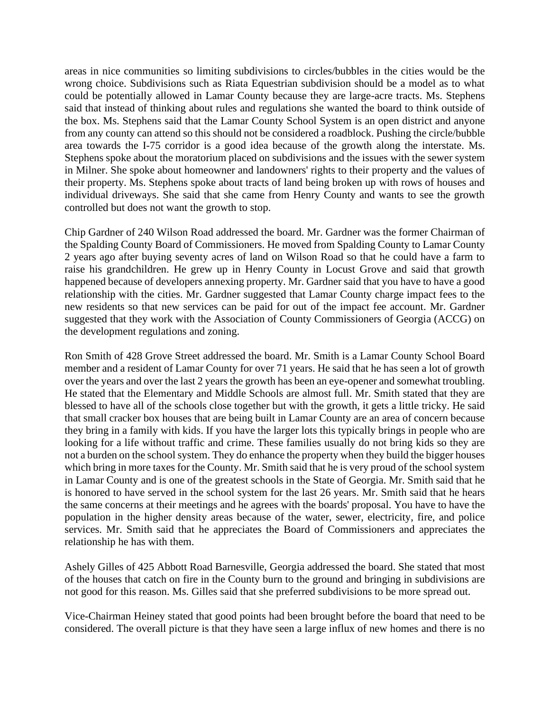areas in nice communities so limiting subdivisions to circles/bubbles in the cities would be the wrong choice. Subdivisions such as Riata Equestrian subdivision should be a model as to what could be potentially allowed in Lamar County because they are large-acre tracts. Ms. Stephens said that instead of thinking about rules and regulations she wanted the board to think outside of the box. Ms. Stephens said that the Lamar County School System is an open district and anyone from any county can attend so this should not be considered a roadblock. Pushing the circle/bubble area towards the I-75 corridor is a good idea because of the growth along the interstate. Ms. Stephens spoke about the moratorium placed on subdivisions and the issues with the sewer system in Milner. She spoke about homeowner and landowners' rights to their property and the values of their property. Ms. Stephens spoke about tracts of land being broken up with rows of houses and individual driveways. She said that she came from Henry County and wants to see the growth controlled but does not want the growth to stop.

Chip Gardner of 240 Wilson Road addressed the board. Mr. Gardner was the former Chairman of the Spalding County Board of Commissioners. He moved from Spalding County to Lamar County 2 years ago after buying seventy acres of land on Wilson Road so that he could have a farm to raise his grandchildren. He grew up in Henry County in Locust Grove and said that growth happened because of developers annexing property. Mr. Gardner said that you have to have a good relationship with the cities. Mr. Gardner suggested that Lamar County charge impact fees to the new residents so that new services can be paid for out of the impact fee account. Mr. Gardner suggested that they work with the Association of County Commissioners of Georgia (ACCG) on the development regulations and zoning.

Ron Smith of 428 Grove Street addressed the board. Mr. Smith is a Lamar County School Board member and a resident of Lamar County for over 71 years. He said that he has seen a lot of growth over the years and over the last 2 years the growth has been an eye-opener and somewhat troubling. He stated that the Elementary and Middle Schools are almost full. Mr. Smith stated that they are blessed to have all of the schools close together but with the growth, it gets a little tricky. He said that small cracker box houses that are being built in Lamar County are an area of concern because they bring in a family with kids. If you have the larger lots this typically brings in people who are looking for a life without traffic and crime. These families usually do not bring kids so they are not a burden on the school system. They do enhance the property when they build the bigger houses which bring in more taxes for the County. Mr. Smith said that he is very proud of the school system in Lamar County and is one of the greatest schools in the State of Georgia. Mr. Smith said that he is honored to have served in the school system for the last 26 years. Mr. Smith said that he hears the same concerns at their meetings and he agrees with the boards' proposal. You have to have the population in the higher density areas because of the water, sewer, electricity, fire, and police services. Mr. Smith said that he appreciates the Board of Commissioners and appreciates the relationship he has with them.

Ashely Gilles of 425 Abbott Road Barnesville, Georgia addressed the board. She stated that most of the houses that catch on fire in the County burn to the ground and bringing in subdivisions are not good for this reason. Ms. Gilles said that she preferred subdivisions to be more spread out.

Vice-Chairman Heiney stated that good points had been brought before the board that need to be considered. The overall picture is that they have seen a large influx of new homes and there is no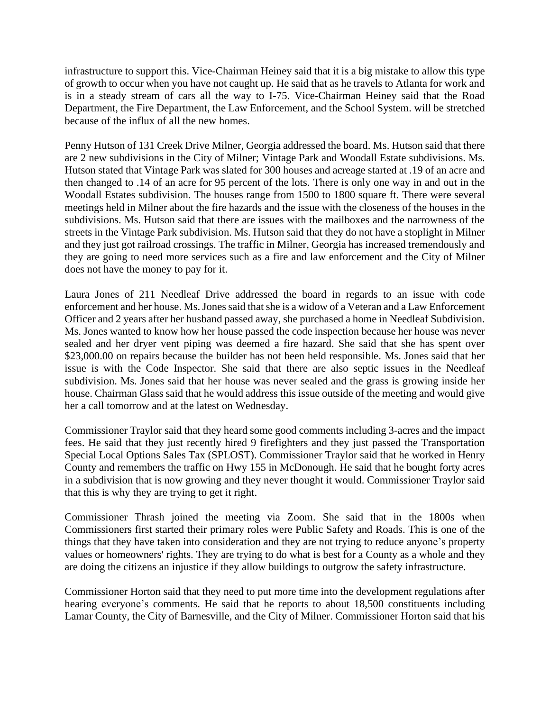infrastructure to support this. Vice-Chairman Heiney said that it is a big mistake to allow this type of growth to occur when you have not caught up. He said that as he travels to Atlanta for work and is in a steady stream of cars all the way to I-75. Vice-Chairman Heiney said that the Road Department, the Fire Department, the Law Enforcement, and the School System. will be stretched because of the influx of all the new homes.

Penny Hutson of 131 Creek Drive Milner, Georgia addressed the board. Ms. Hutson said that there are 2 new subdivisions in the City of Milner; Vintage Park and Woodall Estate subdivisions. Ms. Hutson stated that Vintage Park was slated for 300 houses and acreage started at .19 of an acre and then changed to .14 of an acre for 95 percent of the lots. There is only one way in and out in the Woodall Estates subdivision. The houses range from 1500 to 1800 square ft. There were several meetings held in Milner about the fire hazards and the issue with the closeness of the houses in the subdivisions. Ms. Hutson said that there are issues with the mailboxes and the narrowness of the streets in the Vintage Park subdivision. Ms. Hutson said that they do not have a stoplight in Milner and they just got railroad crossings. The traffic in Milner, Georgia has increased tremendously and they are going to need more services such as a fire and law enforcement and the City of Milner does not have the money to pay for it.

Laura Jones of 211 Needleaf Drive addressed the board in regards to an issue with code enforcement and her house. Ms. Jones said that she is a widow of a Veteran and a Law Enforcement Officer and 2 years after her husband passed away, she purchased a home in Needleaf Subdivision. Ms. Jones wanted to know how her house passed the code inspection because her house was never sealed and her dryer vent piping was deemed a fire hazard. She said that she has spent over \$23,000.00 on repairs because the builder has not been held responsible. Ms. Jones said that her issue is with the Code Inspector. She said that there are also septic issues in the Needleaf subdivision. Ms. Jones said that her house was never sealed and the grass is growing inside her house. Chairman Glass said that he would address this issue outside of the meeting and would give her a call tomorrow and at the latest on Wednesday.

Commissioner Traylor said that they heard some good comments including 3-acres and the impact fees. He said that they just recently hired 9 firefighters and they just passed the Transportation Special Local Options Sales Tax (SPLOST). Commissioner Traylor said that he worked in Henry County and remembers the traffic on Hwy 155 in McDonough. He said that he bought forty acres in a subdivision that is now growing and they never thought it would. Commissioner Traylor said that this is why they are trying to get it right.

Commissioner Thrash joined the meeting via Zoom. She said that in the 1800s when Commissioners first started their primary roles were Public Safety and Roads. This is one of the things that they have taken into consideration and they are not trying to reduce anyone's property values or homeowners' rights. They are trying to do what is best for a County as a whole and they are doing the citizens an injustice if they allow buildings to outgrow the safety infrastructure.

Commissioner Horton said that they need to put more time into the development regulations after hearing everyone's comments. He said that he reports to about 18,500 constituents including Lamar County, the City of Barnesville, and the City of Milner. Commissioner Horton said that his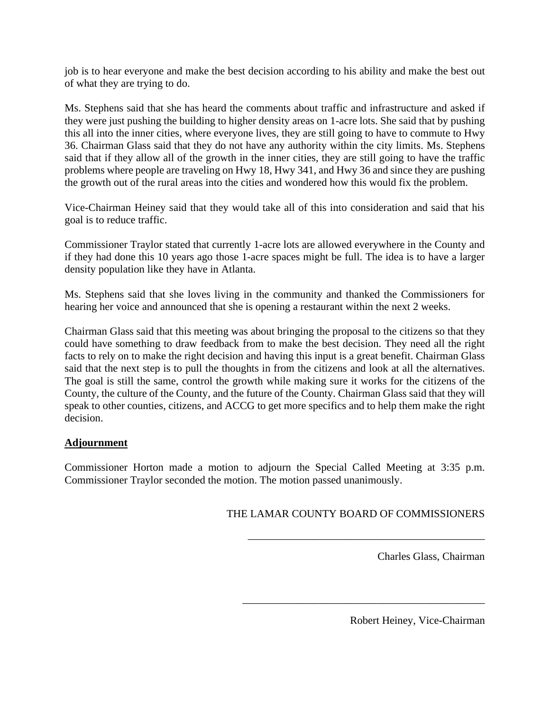job is to hear everyone and make the best decision according to his ability and make the best out of what they are trying to do.

Ms. Stephens said that she has heard the comments about traffic and infrastructure and asked if they were just pushing the building to higher density areas on 1-acre lots. She said that by pushing this all into the inner cities, where everyone lives, they are still going to have to commute to Hwy 36. Chairman Glass said that they do not have any authority within the city limits. Ms. Stephens said that if they allow all of the growth in the inner cities, they are still going to have the traffic problems where people are traveling on Hwy 18, Hwy 341, and Hwy 36 and since they are pushing the growth out of the rural areas into the cities and wondered how this would fix the problem.

Vice-Chairman Heiney said that they would take all of this into consideration and said that his goal is to reduce traffic.

Commissioner Traylor stated that currently 1-acre lots are allowed everywhere in the County and if they had done this 10 years ago those 1-acre spaces might be full. The idea is to have a larger density population like they have in Atlanta.

Ms. Stephens said that she loves living in the community and thanked the Commissioners for hearing her voice and announced that she is opening a restaurant within the next 2 weeks.

Chairman Glass said that this meeting was about bringing the proposal to the citizens so that they could have something to draw feedback from to make the best decision. They need all the right facts to rely on to make the right decision and having this input is a great benefit. Chairman Glass said that the next step is to pull the thoughts in from the citizens and look at all the alternatives. The goal is still the same, control the growth while making sure it works for the citizens of the County, the culture of the County, and the future of the County. Chairman Glass said that they will speak to other counties, citizens, and ACCG to get more specifics and to help them make the right decision.

# **Adjournment**

Commissioner Horton made a motion to adjourn the Special Called Meeting at 3:35 p.m. Commissioner Traylor seconded the motion. The motion passed unanimously.

# THE LAMAR COUNTY BOARD OF COMMISSIONERS

\_\_\_\_\_\_\_\_\_\_\_\_\_\_\_\_\_\_\_\_\_\_\_\_\_\_\_\_\_\_\_\_\_\_\_\_\_\_\_\_\_\_\_\_

\_\_\_\_\_\_\_\_\_\_\_\_\_\_\_\_\_\_\_\_\_\_\_\_\_\_\_\_\_\_\_\_\_\_\_\_\_\_\_\_\_\_\_\_\_

Charles Glass, Chairman

Robert Heiney, Vice-Chairman